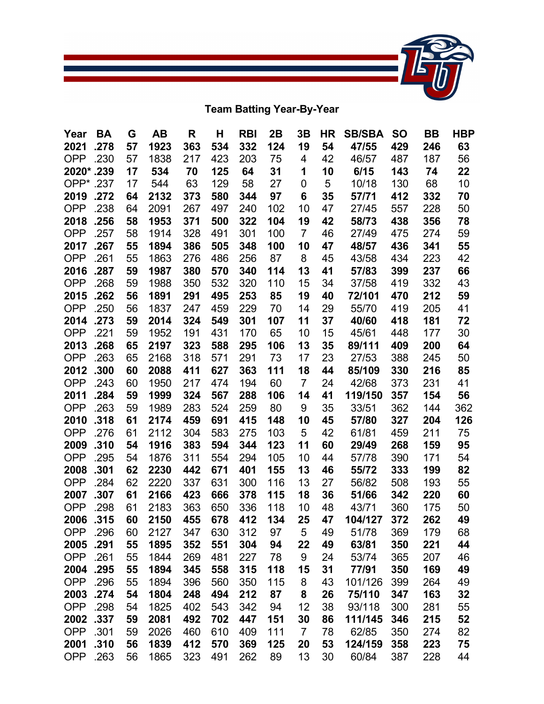

**Team Batting Year-By-Year**

| Year               | BA           | G        | AB           | R          | н          | <b>RBI</b> | 2B        | 3B             | ΗR       | <b>SB/SBA</b>  | <b>SO</b>  | <b>BB</b>  | <b>HBP</b> |
|--------------------|--------------|----------|--------------|------------|------------|------------|-----------|----------------|----------|----------------|------------|------------|------------|
| 2021               | .278         | 57       | 1923         | 363        | 534        | 332        | 124       | 19             | 54       | 47/55          | 429        | 246        | 63         |
| OPP                | .230         | 57       | 1838         | 217        | 423        | 203        | 75        | 4              | 42       | 46/57          | 487        | 187        | 56         |
| 2020*.239          |              | 17       | 534          | 70         | 125        | 64         | 31        | 1              | 10       | 6/15           | 143        | 74         | 22         |
| OPP* .237          |              | 17       | 544          | 63         | 129        | 58         | 27        | 0              | 5        | 10/18          | 130        | 68         | 10         |
| 2019               | .272         | 64       | 2132         | 373        | 580        | 344        | 97        | 6              | 35       | 57/71          | 412        | 332        | 70         |
| <b>OPP</b>         | .238         | 64       | 2091         | 267        | 497        | 240        | 102       | 10             | 47       | 27/45          | 557        | 228        | 50         |
| 2018               | .256         | 58       | 1953         | 371        | 500        | 322        | 104       | 19             | 42       | 58/73          | 438        | 356        | 78         |
| <b>OPP</b>         | .257         | 58       | 1914         | 328        | 491        | 301        | 100       | $\overline{7}$ | 46       | 27/49          | 475        | 274        | 59         |
| 2017               | .267         | 55       | 1894         | 386        | 505        | 348        | 100       | 10             | 47       | 48/57          | 436        | 341        | 55         |
| <b>OPP</b>         | .261         | 55       | 1863         | 276        | 486        | 256        | 87        | 8              | 45       | 43/58          | 434        | 223        | 42         |
| 2016               | .287         | 59       | 1987         | 380        | 570        | 340        | 114       | 13             | 41       | 57/83          | 399        | 237        | 66         |
| <b>OPP</b>         | .268         | 59       | 1988         | 350        | 532        | 320        | 110       | 15             | 34       | 37/58          | 419        | 332        | 43         |
| 2015               | .262         | 56       | 1891         | 291        | 495        | 253        | 85        | 19             | 40       | 72/101         | 470        | 212        | 59         |
| <b>OPP</b>         | .250         | 56       | 1837         | 247        | 459        | 229        | 70        | 14             | 29       | 55/70          | 419        | 205        | 41         |
| 2014               | .273         | 59       | 2014         | 324        | 549        | 301        | 107       | 11             | 37       | 40/60          | 418        | 181        | 72         |
| <b>OPP</b>         | .221         | 59       | 1952         | 191        | 431        | 170        | 65        | 10             | 15       | 45/61          | 448        | 177        | 30         |
| 2013               | .268         | 65       | 2197         | 323        | 588        | 295        | 106       | 13             | 35       | 89/111         | 409        | 200        | 64         |
| <b>OPP</b>         | .263         | 65       | 2168         | 318        | 571        | 291        | 73        | 17             | 23       | 27/53          | 388        | 245        | 50         |
| 2012               | .300         | 60       | 2088         | 411        | 627        | 363        | 111       | 18             | 44       | 85/109         | 330        | 216        | 85         |
| <b>OPP</b>         | .243         | 60       | 1950         | 217        | 474        | 194        | 60        | $\overline{7}$ | 24       | 42/68          | 373        | 231        | 41         |
| 2011               | .284         | 59       | 1999         | 324        | 567        | 288        | 106       | 14             | 41       | 119/150        | 357        | 154        | 56         |
| <b>OPP</b><br>2010 | .263<br>.318 | 59<br>61 | 1989<br>2174 | 283<br>459 | 524<br>691 | 259<br>415 | 80<br>148 | 9<br>10        | 35<br>45 | 33/51<br>57/80 | 362<br>327 | 144<br>204 | 362<br>126 |
| <b>OPP</b>         | .276         | 61       | 2112         | 304        | 583        | 275        | 103       | 5              | 42       | 61/81          | 459        | 211        | 75         |
| 2009               | .310         | 54       | 1916         | 383        | 594        | 344        | 123       | 11             | 60       | 29/49          | 268        | 159        | 95         |
| <b>OPP</b>         | .295         | 54       | 1876         | 311        | 554        | 294        | 105       | 10             | 44       | 57/78          | 390        | 171        | 54         |
| 2008               | .301         | 62       | 2230         | 442        | 671        | 401        | 155       | 13             | 46       | 55/72          | 333        | 199        | 82         |
| <b>OPP</b>         | .284         | 62       | 2220         | 337        | 631        | 300        | 116       | 13             | 27       | 56/82          | 508        | 193        | 55         |
| 2007               | .307         | 61       | 2166         | 423        | 666        | 378        | 115       | 18             | 36       | 51/66          | 342        | 220        | 60         |
| <b>OPP</b>         | .298         | 61       | 2183         | 363        | 650        | 336        | 118       | 10             | 48       | 43/71          | 360        | 175        | 50         |
| 2006               | .315         | 60       | 2150         | 455        | 678        | 412        | 134       | 25             | 47       | 104/127        | 372        | 262        | 49         |
| <b>OPP</b>         | .296         | 60       | 2127         | 347        | 630        | 312        | 97        | 5              | 49       | 51/78          | 369        | 179        | 68         |
| 2005               | .291         | 55       | 1895         | 352        | 551        | 304        | 94        | 22             | 49       | 63/81          | 350        | 221        | 44         |
| <b>OPP</b>         | .261         | 55       | 1844         | 269        | 481        | 227        | 78        | 9              | 24       | 53/74          | 365        | 207        | 46         |
| 2004               | .295         | 55       | 1894         | 345        | 558        | 315        | 118       | 15             | 31       | 77/91          | 350        | 169        | 49         |
| <b>OPP</b>         | .296         | 55       | 1894         | 396        | 560        | 350        | 115       | 8              | 43       | 101/126        | 399        | 264        | 49         |
| 2003               | .274         | 54       | 1804         | 248        | 494        | 212        | 87        | 8              | 26       | 75/110         | 347        | 163        | 32         |
| <b>OPP</b>         | .298         | 54       | 1825         | 402        | 543        | 342        | 94        | 12             | 38       | 93/118         | 300        | 281        | 55         |
| 2002               | .337         | 59       | 2081         | 492        | 702        | 447        | 151       | 30             | 86       | 111/145        | 346        | 215        | 52         |
| <b>OPP</b>         | .301         | 59       | 2026         | 460        | 610        | 409        | 111       | $\overline{7}$ | 78       | 62/85          | 350        | 274        | 82         |
| 2001               | .310         | 56       | 1839         | 412        | 570        | 369        | 125       | 20             | 53       | 124/159        | 358        | 223        | 75         |
| <b>OPP</b>         | .263         | 56       | 1865         | 323        | 491        | 262        | 89        | 13             | 30       | 60/84          | 387        | 228        | 44         |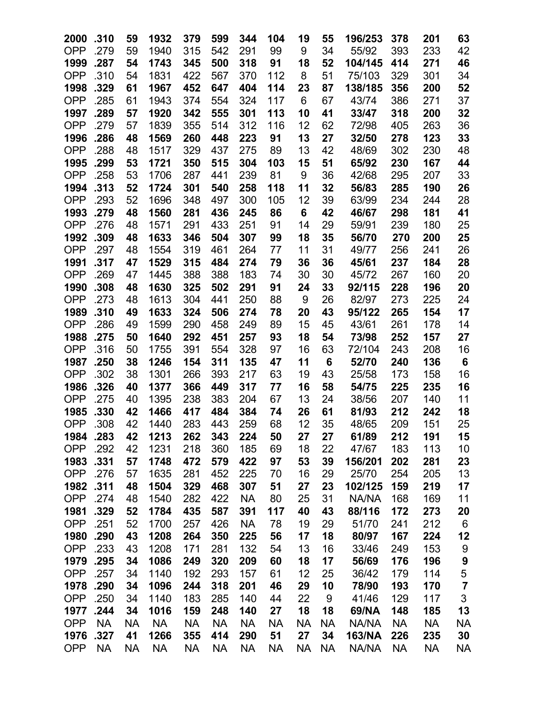| 2000       | .310      | 59        | 1932      | 379       | 599       | 344       | 104       | 19        | 55        | 196/253       | 378       | 201       | 63             |
|------------|-----------|-----------|-----------|-----------|-----------|-----------|-----------|-----------|-----------|---------------|-----------|-----------|----------------|
| <b>OPP</b> | .279      | 59        | 1940      | 315       | 542       | 291       | 99        | 9         | 34        | 55/92         | 393       | 233       | 42             |
| 1999       | .287      | 54        | 1743      | 345       | 500       | 318       | 91        | 18        | 52        | 104/145       | 414       | 271       | 46             |
| <b>OPP</b> | .310      | 54        | 1831      | 422       | 567       | 370       | 112       | 8         | 51        | 75/103        | 329       | 301       | 34             |
| 1998       | .329      | 61        | 1967      | 452       | 647       | 404       | 114       | 23        | 87        | 138/185       | 356       | 200       | 52             |
| <b>OPP</b> | .285      | 61        | 1943      | 374       | 554       | 324       | 117       | 6         | 67        | 43/74         | 386       | 271       | 37             |
| 1997       | .289      | 57        | 1920      | 342       | 555       | 301       | 113       | 10        | 41        | 33/47         | 318       | 200       | 32             |
| <b>OPP</b> | .279      | 57        | 1839      | 355       | 514       | 312       | 116       | 12        | 62        | 72/98         | 405       | 263       | 36             |
| 1996       | .286      | 48        | 1569      | 260       | 448       | 223       | 91        | 13        | 27        | 32/50         | 278       | 123       | 33             |
| <b>OPP</b> | .288      | 48        | 1517      | 329       | 437       | 275       | 89        | 13        | 42        | 48/69         | 302       | 230       | 48             |
| 1995       | .299      | 53        | 1721      | 350       | 515       | 304       | 103       | 15        | 51        | 65/92         | 230       | 167       | 44             |
| <b>OPP</b> | .258      | 53        | 1706      | 287       | 441       | 239       | 81        | 9         | 36        | 42/68         | 295       | 207       | 33             |
| 1994       | .313      | 52        | 1724      | 301       | 540       | 258       | 118       | 11        | 32        | 56/83         | 285       | 190       | 26             |
| <b>OPP</b> | .293      | 52        | 1696      | 348       | 497       | 300       | 105       | 12        | 39        | 63/99         | 234       | 244       | 28             |
| 1993       | .279      | 48        | 1560      | 281       | 436       | 245       | 86        | 6         | 42        | 46/67         | 298       | 181       | 41             |
| <b>OPP</b> | .276      | 48        | 1571      | 291       | 433       | 251       | 91        | 14        | 29        | 59/91         | 239       | 180       | 25             |
| 1992       | .309      | 48        | 1633      | 346       | 504       | 307       | 99        | 18        | 35        | 56/70         | 270       | 200       | 25             |
| <b>OPP</b> | .297      | 48        | 1554      | 319       | 461       | 264       | 77        | 11        | 31        | 49/77         | 256       | 241       | 26             |
| 1991       | .317      | 47        | 1529      | 315       | 484       | 274       | 79        | 36        | 36        | 45/61         | 237       | 184       | 28             |
| <b>OPP</b> | .269      | 47        | 1445      | 388       | 388       | 183       | 74        | 30        | 30        | 45/72         | 267       | 160       | 20             |
| 1990       | .308      | 48        | 1630      | 325       | 502       | 291       | 91        | 24        | 33        | 92/115        | 228       | 196       | 20             |
| <b>OPP</b> | .273      | 48        | 1613      | 304       | 441       | 250       | 88        | 9         | 26        | 82/97         | 273       | 225       | 24             |
| 1989       | .310      | 49        | 1633      | 324       | 506       | 274       | 78        | 20        | 43        | 95/122        | 265       | 154       | 17             |
| <b>OPP</b> | .286      | 49        | 1599      | 290       | 458       | 249       | 89        | 15        | 45        | 43/61         | 261       | 178       | 14             |
| 1988       | .275      | 50        | 1640      | 292       | 451       | 257       | 93        | 18        | 54        | 73/98         | 252       | 157       | 27             |
| <b>OPP</b> | .316      | 50        | 1755      | 391       | 554       | 328       | 97        | 16        | 63        | 72/104        | 243       | 208       | 16             |
| 1987       | .250      | 38        | 1246      | 154       | 311       | 135       | 47        | 11        | 6         | 52/70         | 240       | 136       | 6              |
| <b>OPP</b> | .302      | 38        | 1301      | 266       | 393       | 217       | 63        | 19        | 43        | 25/58         | 173       | 158       | 16             |
| 1986       | .326      | 40        | 1377      | 366       | 449       | 317       | 77        | 16        | 58        | 54/75         | 225       | 235       | 16             |
| <b>OPP</b> | .275      | 40        | 1395      | 238       | 383       | 204       | 67        | 13        | 24        | 38/56         | 207       | 140       | 11             |
| 1985       | .330      | 42        | 1466      | 417       | 484       | 384       | 74        | 26        | 61        | 81/93         | 212       | 242       | 18             |
| <b>OPP</b> | .308      | 42        | 1440      | 283       | 443       | 259       | 68        | 12        | 35        | 48/65         | 209       | 151       | 25             |
| 1984       | .283      | 42        | 1213      | 262       | 343       | 224       | 50        | 27        | 27        | 61/89         | 212       | 191       | 15             |
| <b>OPP</b> | .292      | 42        | 1231      | 218       | 360       | 185       | 69        | 18        | 22        | 47/67         | 183       | 113       | 10             |
| 1983       | .331      | 57        | 1748      | 472       | 579       | 422       | 97        | 53        | 39        | 156/201       | 202       | 281       | 23             |
| <b>OPP</b> | .276      | 57        | 1635      | 281       | 452       | 225       | 70        | 16        | 29        | 25/70         | 254       | 205       | 13             |
| 1982       | .311      | 48        | 1504      | 329       | 468       | 307       | 51        | 27        | 23        | 102/125       | 159       | 219       | 17             |
| <b>OPP</b> | .274      | 48        | 1540      | 282       | 422       | <b>NA</b> | 80        | 25        | 31        | NA/NA         | 168       | 169       | 11             |
| 1981       | .329      | 52        | 1784      | 435       | 587       | 391       | 117       | 40        | 43        | 88/116        | 172       | 273       | 20             |
| <b>OPP</b> | .251      | 52        | 1700      | 257       | 426       | <b>NA</b> | 78        | 19        | 29        | 51/70         | 241       | 212       | 6              |
| 1980       | .290      | 43        | 1208      | 264       | 350       | 225       | 56        | 17        | 18        | 80/97         | 167       | 224       | 12             |
| <b>OPP</b> | .233      | 43        | 1208      | 171       | 281       | 132       | 54        | 13        | 16        | 33/46         | 249       | 153       | 9              |
| 1979       | .295      | 34        | 1086      | 249       | 320       | 209       | 60        | 18        | 17        | 56/69         | 176       | 196       | 9              |
| <b>OPP</b> | .257      | 34        | 1140      | 192       | 293       | 157       | 61        | 12        | 25        | 36/42         | 179       | 114       | 5              |
| 1978       | .290      | 34        | 1096      | 244       | 318       | 201       | 46        | 29        | 10        | 78/90         | 193       | 170       | $\overline{7}$ |
| <b>OPP</b> | .250      | 34        | 1140      | 183       | 285       | 140       | 44        | 22        | 9         | 41/46         | 129       | 117       | 3              |
| 1977       | .244      | 34        | 1016      | 159       | 248       | 140       | 27        | 18        | 18        | 69/NA         | 148       | 185       | 13             |
| <b>OPP</b> | <b>NA</b> | <b>NA</b> | <b>NA</b> | <b>NA</b> | <b>NA</b> | <b>NA</b> | <b>NA</b> | NA        | <b>NA</b> | NA/NA         | <b>NA</b> | <b>NA</b> | NА             |
| 1976       | .327      | 41        | 1266      | 355       | 414       | 290       | 51        | 27        | 34        | <b>163/NA</b> | 226       | 235       | 30             |
| <b>OPP</b> | <b>NA</b> | NA        | <b>NA</b> | <b>NA</b> | NA        | <b>NA</b> | <b>NA</b> | <b>NA</b> | <b>NA</b> | NA/NA         | <b>NA</b> | <b>NA</b> | NA             |